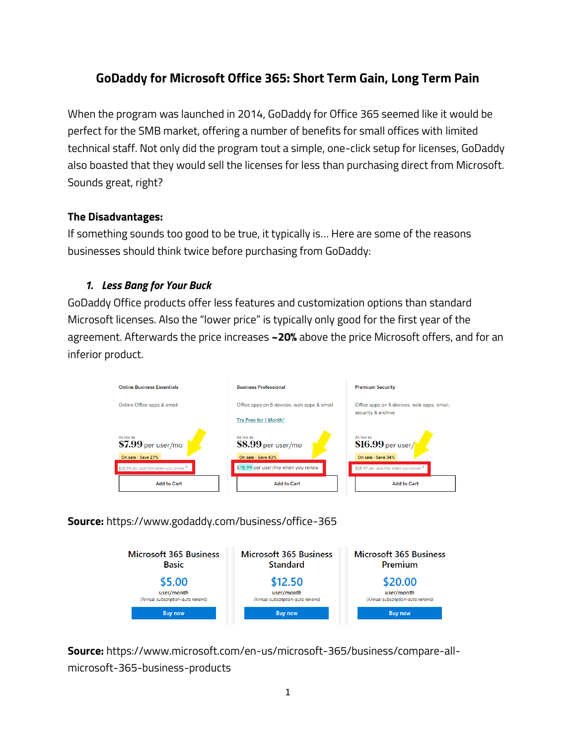# **GoDaddy for Microsoft Office 365: Short Term Gain, Long Term Pain**

When the program was launched in 2014, GoDaddy for Office 365 seemed like it would be perfect for the SMB market, offering a number of benefits for small offices with limited technical staff. Not only did the program tout a simple, one-click setup for licenses, GoDaddy also boasted that they would sell the licenses for less than purchasing direct from Microsoft. Sounds great, right?

#### **The Disadvantages:**

If something sounds too good to be true, it typically is… Here are some of the reasons businesses should think twice before purchasing from GoDaddy:

#### *1. Less Bang for Your Buck*

GoDaddy Office products offer less features and customization options than standard Microsoft licenses. Also the "lower price" is typically only good for the first year of the agreement. Afterwards the price increases **~20%** above the price Microsoft offers, and for an inferior product.



## **Source:** https://www.godaddy.com/business/office-365



**Source:** [https://www.microsoft.com/en-us/microsoft-365/business/compare-all](https://www.microsoft.com/en-us/microsoft-365/business/compare-all-microsoft-365-business-products)[microsoft-365-business-products](https://www.microsoft.com/en-us/microsoft-365/business/compare-all-microsoft-365-business-products)